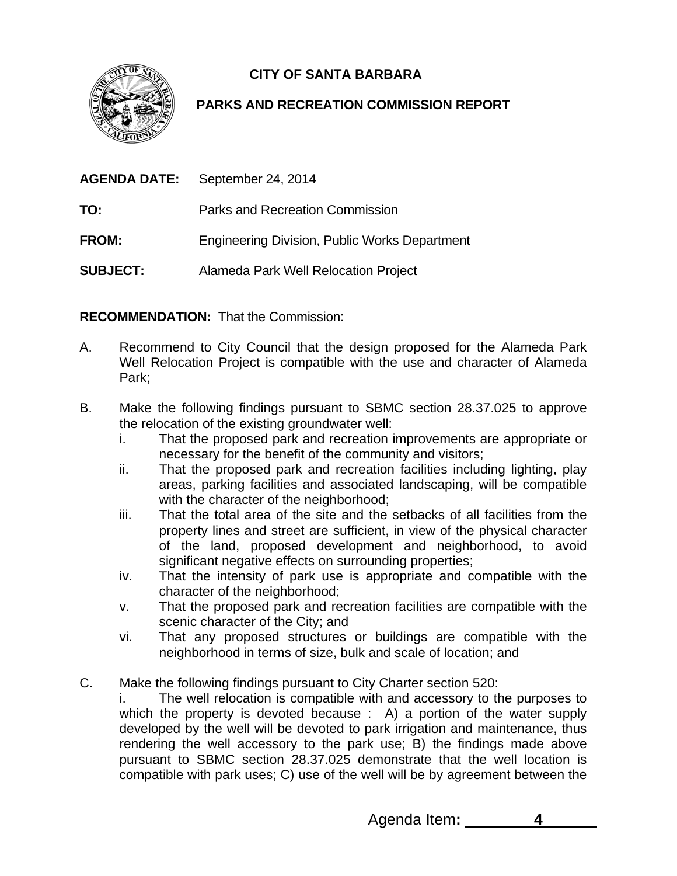**CITY OF SANTA BARBARA** 



# **PARKS AND RECREATION COMMISSION REPORT**

| AGENDA DATE:    | September 24, 2014                                   |
|-----------------|------------------------------------------------------|
| TO:             | Parks and Recreation Commission                      |
| <b>FROM:</b>    | <b>Engineering Division, Public Works Department</b> |
| <b>SUBJECT:</b> | Alameda Park Well Relocation Project                 |

**RECOMMENDATION:** That the Commission:

- A. Recommend to City Council that the design proposed for the Alameda Park Well Relocation Project is compatible with the use and character of Alameda Park;
- B. Make the following findings pursuant to SBMC section 28.37.025 to approve the relocation of the existing groundwater well:
	- i. That the proposed park and recreation improvements are appropriate or necessary for the benefit of the community and visitors;
	- ii. That the proposed park and recreation facilities including lighting, play areas, parking facilities and associated landscaping, will be compatible with the character of the neighborhood:
	- iii. That the total area of the site and the setbacks of all facilities from the property lines and street are sufficient, in view of the physical character of the land, proposed development and neighborhood, to avoid significant negative effects on surrounding properties;
	- iv. That the intensity of park use is appropriate and compatible with the character of the neighborhood;
	- v. That the proposed park and recreation facilities are compatible with the scenic character of the City; and
	- vi. That any proposed structures or buildings are compatible with the neighborhood in terms of size, bulk and scale of location; and
- C. Make the following findings pursuant to City Charter section 520:

i. The well relocation is compatible with and accessory to the purposes to which the property is devoted because : A) a portion of the water supply developed by the well will be devoted to park irrigation and maintenance, thus rendering the well accessory to the park use; B) the findings made above pursuant to SBMC section 28.37.025 demonstrate that the well location is compatible with park uses; C) use of the well will be by agreement between the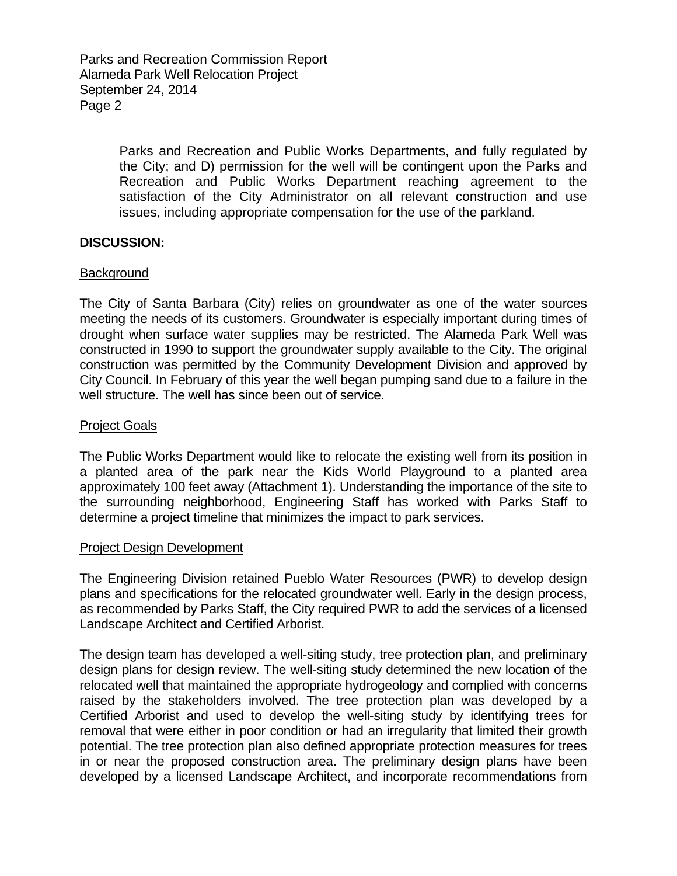Parks and Recreation Commission Report Alameda Park Well Relocation Project September 24, 2014 Page 2

> Parks and Recreation and Public Works Departments, and fully regulated by the City; and D) permission for the well will be contingent upon the Parks and Recreation and Public Works Department reaching agreement to the satisfaction of the City Administrator on all relevant construction and use issues, including appropriate compensation for the use of the parkland.

### **DISCUSSION:**

## **Background**

The City of Santa Barbara (City) relies on groundwater as one of the water sources meeting the needs of its customers. Groundwater is especially important during times of drought when surface water supplies may be restricted. The Alameda Park Well was constructed in 1990 to support the groundwater supply available to the City. The original construction was permitted by the Community Development Division and approved by City Council. In February of this year the well began pumping sand due to a failure in the well structure. The well has since been out of service.

### Project Goals

The Public Works Department would like to relocate the existing well from its position in a planted area of the park near the Kids World Playground to a planted area approximately 100 feet away (Attachment 1). Understanding the importance of the site to the surrounding neighborhood, Engineering Staff has worked with Parks Staff to determine a project timeline that minimizes the impact to park services.

#### Project Design Development

The Engineering Division retained Pueblo Water Resources (PWR) to develop design plans and specifications for the relocated groundwater well. Early in the design process, as recommended by Parks Staff, the City required PWR to add the services of a licensed Landscape Architect and Certified Arborist.

The design team has developed a well-siting study, tree protection plan, and preliminary design plans for design review. The well-siting study determined the new location of the relocated well that maintained the appropriate hydrogeology and complied with concerns raised by the stakeholders involved. The tree protection plan was developed by a Certified Arborist and used to develop the well-siting study by identifying trees for removal that were either in poor condition or had an irregularity that limited their growth potential. The tree protection plan also defined appropriate protection measures for trees in or near the proposed construction area. The preliminary design plans have been developed by a licensed Landscape Architect, and incorporate recommendations from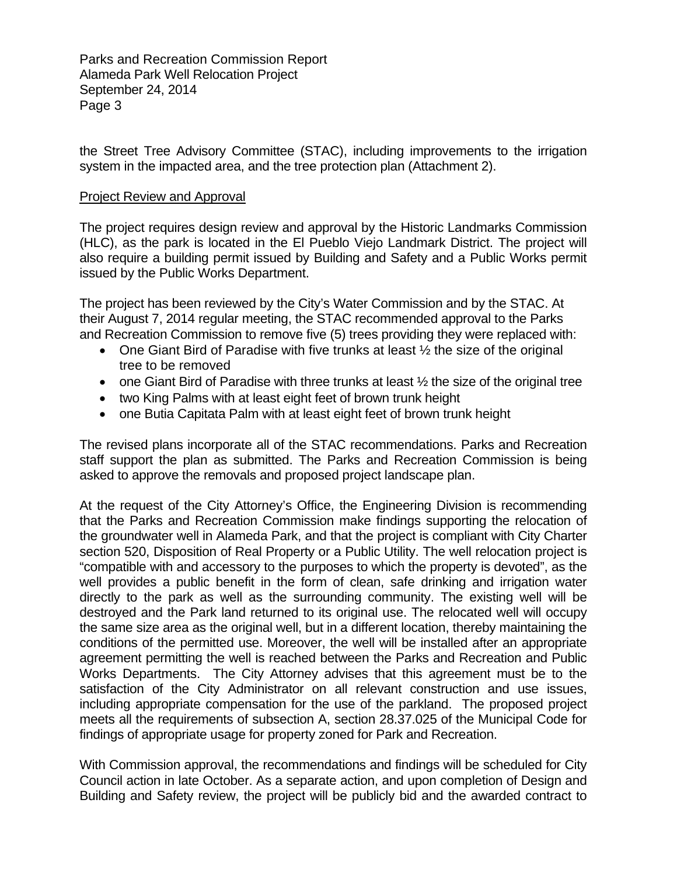Parks and Recreation Commission Report Alameda Park Well Relocation Project September 24, 2014 Page 3

the Street Tree Advisory Committee (STAC), including improvements to the irrigation system in the impacted area, and the tree protection plan (Attachment 2).

### Project Review and Approval

The project requires design review and approval by the Historic Landmarks Commission (HLC), as the park is located in the El Pueblo Viejo Landmark District. The project will also require a building permit issued by Building and Safety and a Public Works permit issued by the Public Works Department.

The project has been reviewed by the City's Water Commission and by the STAC. At their August 7, 2014 regular meeting, the STAC recommended approval to the Parks and Recreation Commission to remove five (5) trees providing they were replaced with:

- One Giant Bird of Paradise with five trunks at least  $\frac{1}{2}$  the size of the original tree to be removed
- one Giant Bird of Paradise with three trunks at least  $\frac{1}{2}$  the size of the original tree
- two King Palms with at least eight feet of brown trunk height
- one Butia Capitata Palm with at least eight feet of brown trunk height

The revised plans incorporate all of the STAC recommendations. Parks and Recreation staff support the plan as submitted. The Parks and Recreation Commission is being asked to approve the removals and proposed project landscape plan.

At the request of the City Attorney's Office, the Engineering Division is recommending that the Parks and Recreation Commission make findings supporting the relocation of the groundwater well in Alameda Park, and that the project is compliant with City Charter section 520, Disposition of Real Property or a Public Utility. The well relocation project is "compatible with and accessory to the purposes to which the property is devoted", as the well provides a public benefit in the form of clean, safe drinking and irrigation water directly to the park as well as the surrounding community. The existing well will be destroyed and the Park land returned to its original use. The relocated well will occupy the same size area as the original well, but in a different location, thereby maintaining the conditions of the permitted use. Moreover, the well will be installed after an appropriate agreement permitting the well is reached between the Parks and Recreation and Public Works Departments. The City Attorney advises that this agreement must be to the satisfaction of the City Administrator on all relevant construction and use issues, including appropriate compensation for the use of the parkland. The proposed project meets all the requirements of subsection A, section 28.37.025 of the Municipal Code for findings of appropriate usage for property zoned for Park and Recreation.

With Commission approval, the recommendations and findings will be scheduled for City Council action in late October. As a separate action, and upon completion of Design and Building and Safety review, the project will be publicly bid and the awarded contract to